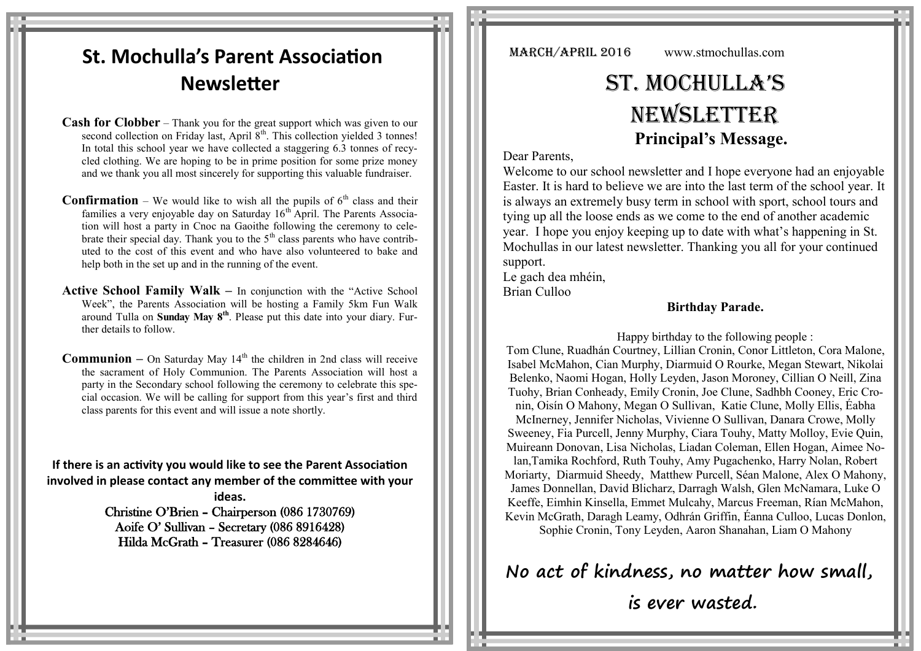# **St. Mochulla's Parent Association Newsletter**

**Cash for Clobber** – Thank you for the great support which was given to our second collection on Friday last, April  $8<sup>th</sup>$ . This collection yielded 3 tonnes! In total this school year we have collected a staggering 6.3 tonnes of recycled clothing. We are hoping to be in prime position for some prize money and we thank you all most sincerely for supporting this valuable fundraiser.

**Confirmation** – We would like to wish all the pupils of  $6<sup>th</sup>$  class and their families a very enjoyable day on Saturday  $16<sup>th</sup>$  April. The Parents Association will host a party in Cnoc na Gaoithe following the ceremony to celebrate their special day. Thank you to the  $5<sup>th</sup>$  class parents who have contributed to the cost of this event and who have also volunteered to bake and help both in the set up and in the running of the event.

**Active School Family Walk –** In conjunction with the "Active School Week", the Parents Association will be hosting a Family 5km Fun Walk around Tulla on **Sunday May 8th**. Please put this date into your diary. Further details to follow.

**Communion** – On Saturday May  $14<sup>th</sup>$  the children in 2nd class will receive the sacrament of Holy Communion. The Parents Association will host a party in the Secondary school following the ceremony to celebrate this special occasion. We will be calling for support from this year's first and third class parents for this event and will issue a note shortly.

**If there is an activity you would like to see the Parent Association involved in please contact any member of the committee with your** 

> **ideas.** Christine O'Brien – Chairperson (086 1730769) Aoife O' Sullivan – Secretary (086 8916428) Hilda McGrath – Treasurer (086 8284646)

MARCH/APRIL 2016 www.stmochullas.com

# St. Mochulla'S **NEWSLETTER Principal's Message.**

Dear Parents,

Welcome to our school newsletter and I hope everyone had an enjoyable Easter. It is hard to believe we are into the last term of the school year. It is always an extremely busy term in school with sport, school tours and tying up all the loose ends as we come to the end of another academic year. I hope you enjoy keeping up to date with what's happening in St. Mochullas in our latest newsletter. Thanking you all for your continued support.

Le gach dea mhéin, Brian Culloo

## **Birthday Parade.**

 Happy birthday to the following people : Tom Clune, Ruadhán Courtney, Lillian Cronin, Conor Littleton, Cora Malone, Isabel McMahon, Cian Murphy, Diarmuid O Rourke, Megan Stewart, Nikolai Belenko, Naomi Hogan, Holly Leyden, Jason Moroney, Cillian O Neill, Zina Tuohy, Brian Conheady, Emily Cronin, Joe Clune, Sadhbh Cooney, Eric Cronin, Oisín O Mahony, Megan O Sullivan, Katie Clune, Molly Ellis, Éabha McInerney, Jennifer Nicholas, Vivienne O Sullivan, Danara Crowe, Molly Sweeney, Fia Purcell, Jenny Murphy, Ciara Touhy, Matty Molloy, Evie Quin, Muireann Donovan, Lisa Nicholas, Liadan Coleman, Ellen Hogan, Aimee Nolan,Tamika Rochford, Ruth Touhy, Amy Pugachenko, Harry Nolan, Robert Moriarty, Diarmuid Sheedy, Matthew Purcell, Séan Malone, Alex O Mahony, James Donnellan, David Blicharz, Darragh Walsh, Glen McNamara, Luke O Keeffe, Eimhin Kinsella, Emmet Mulcahy, Marcus Freeman, Rían McMahon, Kevin McGrath, Daragh Leamy, Odhrán Griffin, Éanna Culloo, Lucas Donlon, Sophie Cronin, Tony Leyden, Aaron Shanahan, Liam O Mahony

**No act of kindness, no matter how small,**

**is ever wasted.**